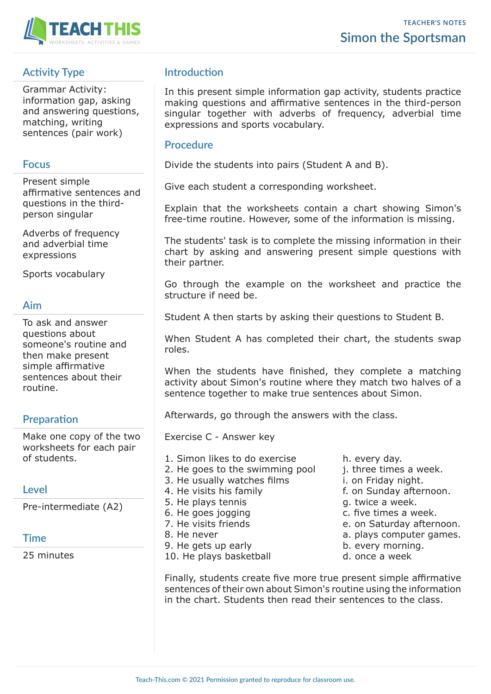

# **Activity Type**

Grammar Activity: information gap, asking and answering questions, matching, writing sentences (pair work)

## **Focus**

Present simple affirmative sentences and questions in the thirdperson singular

Adverbs of frequency and adverbial time expressions

Sports vocabulary

## **Aim**

To ask and answer questions about someone's routine and then make present simple affirmative sentences about their routine.

## **Preparation**

Make one copy of the two worksheets for each pair of students.

#### **Level**

Pre-intermediate (A2)

#### **Time**

25 minutes

## **Introduction**

In this present simple information gap activity, students practice making questions and affirmative sentences in the third-person singular together with adverbs of frequency, adverbial time expressions and sports vocabulary.

#### **Procedure**

Divide the students into pairs (Student A and B).

Give each student a corresponding worksheet.

Explain that the worksheets contain a chart showing Simon's free-time routine. However, some of the information is missing.

The students' task is to complete the missing information in their chart by asking and answering present simple questions with their partner.

Go through the example on the worksheet and practice the structure if need be.

Student A then starts by asking their questions to Student B.

When Student A has completed their chart, the students swap roles.

When the students have finished, they complete a matching activity about Simon's routine where they match two halves of a sentence together to make true sentences about Simon.

Afterwards, go through the answers with the class.

Exercise C - Answer key

- 1. Simon likes to do exercise h. every day.
- 2. He goes to the swimming pool  $\qquad i.$  three times a week.
- 3. He usually watches films i. on Friday night.
- 
- 5. He plays tennis example a week.
- 
- 
- 
- 
- 10. He plays basketball d. once a week

- 
- 
- 4. He visits his family f. on Sunday afternoon.
	-
- 6. He goes jogging state of the c. five times a week.
- 7. He visits friends e. on Saturday afternoon.
- 8. He never a. plays computer games.
- 9. He gets up early example b. every morning.
	-

Finally, students create five more true present simple affirmative sentences of their own about Simon's routine using the information in the chart. Students then read their sentences to the class.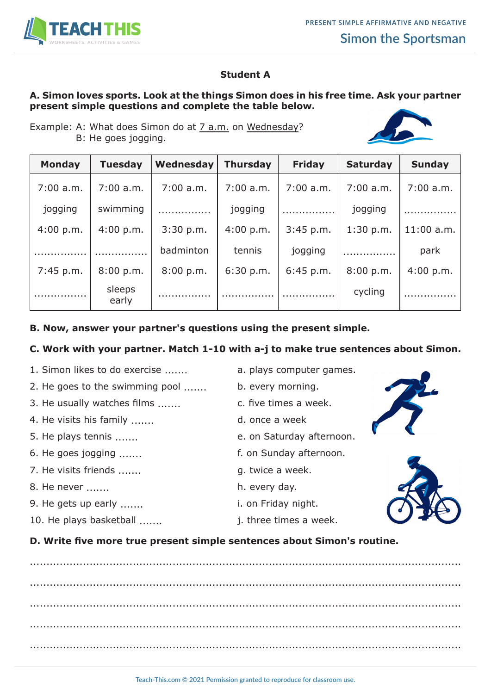

#### **Student A**

#### **A. Simon loves sports. Look at the things Simon does in his free time. Ask your partner present simple questions and complete the table below.**

Example: A: What does Simon do at 7 a.m. on Wednesday? B: He goes jogging.

| <b>Monday</b> | <b>Tuesday</b>  | Wednesday   | <b>Thursday</b> | <b>Friday</b> | <b>Saturday</b> | <b>Sunday</b> |  |
|---------------|-----------------|-------------|-----------------|---------------|-----------------|---------------|--|
| $7:00$ a.m.   | $7:00$ a.m.     | $7:00$ a.m. | 7:00 a.m.       | 7:00 a.m.     | $7:00$ a.m.     | $7:00$ a.m.   |  |
| jogging       | swimming        | .           | jogging         | .             | jogging         | .             |  |
| 4:00 p.m.     | 4:00 p.m.       | 3:30 p.m.   | 4:00 p.m.       | 3:45 p.m.     | 1:30 p.m.       | $11:00$ a.m.  |  |
|               |                 | badminton   | tennis          | jogging       | .               | park          |  |
| 7:45 p.m.     | 8:00 p.m.       | 8:00 p.m.   | 6:30 p.m.       | 6:45 p.m.     | 8:00 p.m.       | 4:00 p.m.     |  |
|               | sleeps<br>early |             |                 |               | cycling         |               |  |

#### **B. Now, answer your partner's questions using the present simple.**

#### **C. Work with your partner. Match 1-10 with a-j to make true sentences about Simon.**

1. Simon likes to do exercise ....... a. plays computer games. 2. He goes to the swimming pool ....... b. every morning. 3. He usually watches films ....... c. five times a week. 4. He visits his family ....... d. once a week 5. He plays tennis ....... e. on Saturday afternoon. 6. He goes jogging ....... f. on Sunday afternoon. 7. He visits friends ....... q. twice a week. 8. He never ....... 9. He gets up early ....... The set of the set of the set of the set of the set of the set of the set of the set of the set of the set of the set of the set of the set of the set of the set of the set of the set of the set 10. He plays basketball ....... **i** three times a week.





#### **D. Write five more true present simple sentences about Simon's routine.**

.................................................................................................................................. .................................................................................................................................. .................................................................................................................................. .................................................................................................................................. ..................................................................................................................................